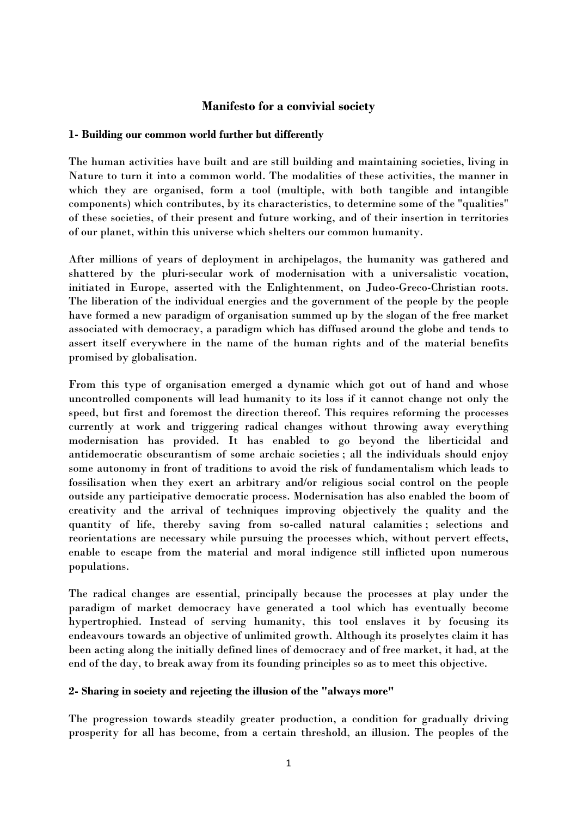# **Manifesto for a convivial society**

# **1- Building our common world further but differently**

The human activities have built and are still building and maintaining societies, living in Nature to turn it into a common world. The modalities of these activities, the manner in which they are organised, form a tool (multiple, with both tangible and intangible components) which contributes, by its characteristics, to determine some of the "qualities" of these societies, of their present and future working, and of their insertion in territories of our planet, within this universe which shelters our common humanity.

After millions of years of deployment in archipelagos, the humanity was gathered and shattered by the pluri-secular work of modernisation with a universalistic vocation, initiated in Europe, asserted with the Enlightenment, on Judeo-Greco-Christian roots. The liberation of the individual energies and the government of the people by the people have formed a new paradigm of organisation summed up by the slogan of the free market associated with democracy, a paradigm which has diffused around the globe and tends to assert itself everywhere in the name of the human rights and of the material benefits promised by globalisation.

From this type of organisation emerged a dynamic which got out of hand and whose uncontrolled components will lead humanity to its loss if it cannot change not only the speed, but first and foremost the direction thereof. This requires reforming the processes currently at work and triggering radical changes without throwing away everything modernisation has provided. It has enabled to go beyond the liberticidal and antidemocratic obscurantism of some archaic societies ; all the individuals should enjoy some autonomy in front of traditions to avoid the risk of fundamentalism which leads to fossilisation when they exert an arbitrary and/or religious social control on the people outside any participative democratic process. Modernisation has also enabled the boom of creativity and the arrival of techniques improving objectively the quality and the quantity of life, thereby saving from so-called natural calamities ; selections and reorientations are necessary while pursuing the processes which, without pervert effects, enable to escape from the material and moral indigence still inflicted upon numerous populations.

The radical changes are essential, principally because the processes at play under the paradigm of market democracy have generated a tool which has eventually become hypertrophied. Instead of serving humanity, this tool enslaves it by focusing its endeavours towards an objective of unlimited growth. Although its proselytes claim it has been acting along the initially defined lines of democracy and of free market, it had, at the end of the day, to break away from its founding principles so as to meet this objective.

### **2- Sharing in society and rejecting the illusion of the "always more"**

The progression towards steadily greater production, a condition for gradually driving prosperity for all has become, from a certain threshold, an illusion. The peoples of the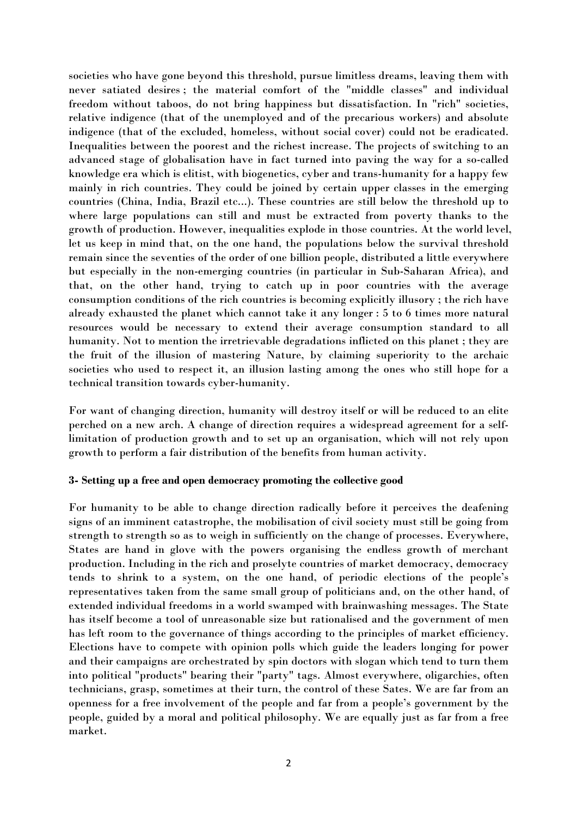societies who have gone beyond this threshold, pursue limitless dreams, leaving them with never satiated desires ; the material comfort of the "middle classes" and individual freedom without taboos, do not bring happiness but dissatisfaction. In "rich" societies, relative indigence (that of the unemployed and of the precarious workers) and absolute indigence (that of the excluded, homeless, without social cover) could not be eradicated. Inequalities between the poorest and the richest increase. The projects of switching to an advanced stage of globalisation have in fact turned into paving the way for a so-called knowledge era which is elitist, with biogenetics, cyber and trans-humanity for a happy few mainly in rich countries. They could be joined by certain upper classes in the emerging countries (China, India, Brazil etc...). These countries are still below the threshold up to where large populations can still and must be extracted from poverty thanks to the growth of production. However, inequalities explode in those countries. At the world level, let us keep in mind that, on the one hand, the populations below the survival threshold remain since the seventies of the order of one billion people, distributed a little everywhere but especially in the non-emerging countries (in particular in Sub-Saharan Africa), and that, on the other hand, trying to catch up in poor countries with the average consumption conditions of the rich countries is becoming explicitly illusory ; the rich have already exhausted the planet which cannot take it any longer : 5 to 6 times more natural resources would be necessary to extend their average consumption standard to all humanity. Not to mention the irretrievable degradations inflicted on this planet ; they are the fruit of the illusion of mastering Nature, by claiming superiority to the archaic societies who used to respect it, an illusion lasting among the ones who still hope for a technical transition towards cyber-humanity.

For want of changing direction, humanity will destroy itself or will be reduced to an elite perched on a new arch. A change of direction requires a widespread agreement for a selflimitation of production growth and to set up an organisation, which will not rely upon growth to perform a fair distribution of the benefits from human activity.

### **3- Setting up a free and open democracy promoting the collective good**

For humanity to be able to change direction radically before it perceives the deafening signs of an imminent catastrophe, the mobilisation of civil society must still be going from strength to strength so as to weigh in sufficiently on the change of processes. Everywhere, States are hand in glove with the powers organising the endless growth of merchant production. Including in the rich and proselyte countries of market democracy, democracy tends to shrink to a system, on the one hand, of periodic elections of the people's representatives taken from the same small group of politicians and, on the other hand, of extended individual freedoms in a world swamped with brainwashing messages. The State has itself become a tool of unreasonable size but rationalised and the government of men has left room to the governance of things according to the principles of market efficiency. Elections have to compete with opinion polls which guide the leaders longing for power and their campaigns are orchestrated by spin doctors with slogan which tend to turn them into political "products" bearing their "party" tags. Almost everywhere, oligarchies, often technicians, grasp, sometimes at their turn, the control of these Sates. We are far from an openness for a free involvement of the people and far from a people's government by the people, guided by a moral and political philosophy. We are equally just as far from a free market.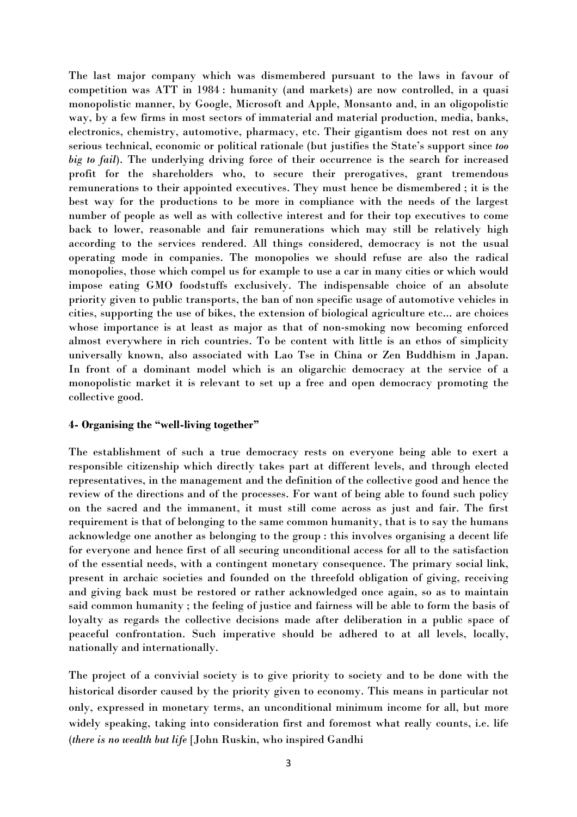The last major company which was dismembered pursuant to the laws in favour of competition was ATT in 1984 : humanity (and markets) are now controlled, in a quasi monopolistic manner, by Google, Microsoft and Apple, Monsanto and, in an oligopolistic way, by a few firms in most sectors of immaterial and material production, media, banks, electronics, chemistry, automotive, pharmacy, etc. Their gigantism does not rest on any serious technical, economic or political rationale (but justifies the State's support since *too big to fail*). The underlying driving force of their occurrence is the search for increased profit for the shareholders who, to secure their prerogatives, grant tremendous remunerations to their appointed executives. They must hence be dismembered ; it is the best way for the productions to be more in compliance with the needs of the largest number of people as well as with collective interest and for their top executives to come back to lower, reasonable and fair remunerations which may still be relatively high according to the services rendered. All things considered, democracy is not the usual operating mode in companies. The monopolies we should refuse are also the radical monopolies, those which compel us for example to use a car in many cities or which would impose eating GMO foodstuffs exclusively. The indispensable choice of an absolute priority given to public transports, the ban of non specific usage of automotive vehicles in cities, supporting the use of bikes, the extension of biological agriculture etc... are choices whose importance is at least as major as that of non-smoking now becoming enforced almost everywhere in rich countries. To be content with little is an ethos of simplicity universally known, also associated with Lao Tse in China or Zen Buddhism in Japan. In front of a dominant model which is an oligarchic democracy at the service of a monopolistic market it is relevant to set up a free and open democracy promoting the collective good.

### **4- Organising the "well-living together"**

The establishment of such a true democracy rests on everyone being able to exert a responsible citizenship which directly takes part at different levels, and through elected representatives, in the management and the definition of the collective good and hence the review of the directions and of the processes. For want of being able to found such policy on the sacred and the immanent, it must still come across as just and fair. The first requirement is that of belonging to the same common humanity, that is to say the humans acknowledge one another as belonging to the group : this involves organising a decent life for everyone and hence first of all securing unconditional access for all to the satisfaction of the essential needs, with a contingent monetary consequence. The primary social link, present in archaic societies and founded on the threefold obligation of giving, receiving and giving back must be restored or rather acknowledged once again, so as to maintain said common humanity ; the feeling of justice and fairness will be able to form the basis of loyalty as regards the collective decisions made after deliberation in a public space of peaceful confrontation. Such imperative should be adhered to at all levels, locally, nationally and internationally.

The project of a convivial society is to give priority to society and to be done with the historical disorder caused by the priority given to economy. This means in particular not only, expressed in monetary terms, an unconditional minimum income for all, but more widely speaking, taking into consideration first and foremost what really counts, i.e. life (*there is no wealth but life* [John Ruskin, who inspired Gandhi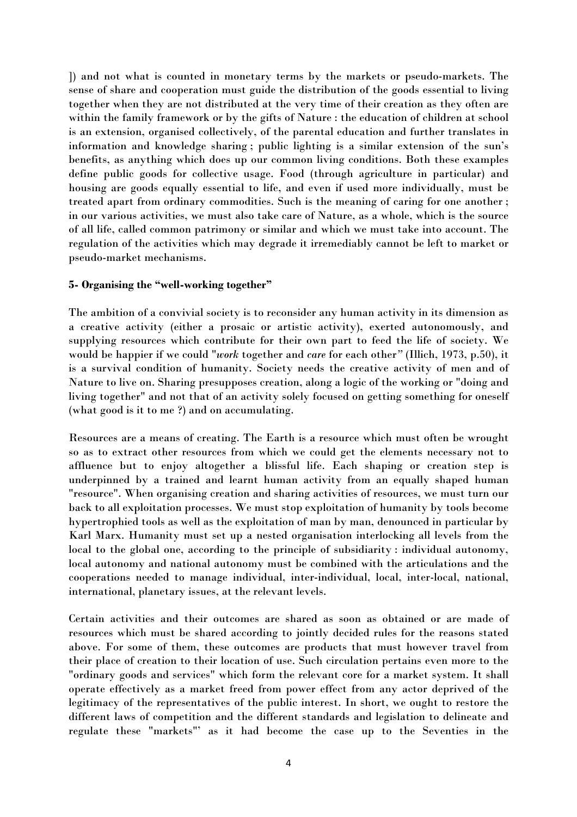]) and not what is counted in monetary terms by the markets or pseudo-markets. The sense of share and cooperation must guide the distribution of the goods essential to living together when they are not distributed at the very time of their creation as they often are within the family framework or by the gifts of Nature : the education of children at school is an extension, organised collectively, of the parental education and further translates in information and knowledge sharing ; public lighting is a similar extension of the sun's benefits, as anything which does up our common living conditions. Both these examples define public goods for collective usage. Food (through agriculture in particular) and housing are goods equally essential to life, and even if used more individually, must be treated apart from ordinary commodities. Such is the meaning of caring for one another ; in our various activities, we must also take care of Nature, as a whole, which is the source of all life, called common patrimony or similar and which we must take into account. The regulation of the activities which may degrade it irremediably cannot be left to market or pseudo-market mechanisms.

# **5- Organising the "well-working together"**

The ambition of a convivial society is to reconsider any human activity in its dimension as a creative activity (either a prosaic or artistic activity), exerted autonomously, and supplying resources which contribute for their own part to feed the life of society. We would be happier if we could "*work* together and *care* for each other*"* (Illich, 1973, p.50), it is a survival condition of humanity. Society needs the creative activity of men and of Nature to live on. Sharing presupposes creation, along a logic of the working or "doing and living together" and not that of an activity solely focused on getting something for oneself (what good is it to me ?) and on accumulating.

Resources are a means of creating. The Earth is a resource which must often be wrought so as to extract other resources from which we could get the elements necessary not to affluence but to enjoy altogether a blissful life. Each shaping or creation step is underpinned by a trained and learnt human activity from an equally shaped human "resource". When organising creation and sharing activities of resources, we must turn our back to all exploitation processes. We must stop exploitation of humanity by tools become hypertrophied tools as well as the exploitation of man by man, denounced in particular by Karl Marx. Humanity must set up a nested organisation interlocking all levels from the local to the global one, according to the principle of subsidiarity : individual autonomy, local autonomy and national autonomy must be combined with the articulations and the cooperations needed to manage individual, inter-individual, local, inter-local, national, international, planetary issues, at the relevant levels.

Certain activities and their outcomes are shared as soon as obtained or are made of resources which must be shared according to jointly decided rules for the reasons stated above. For some of them, these outcomes are products that must however travel from their place of creation to their location of use. Such circulation pertains even more to the "ordinary goods and services" which form the relevant core for a market system. It shall operate effectively as a market freed from power effect from any actor deprived of the legitimacy of the representatives of the public interest. In short, we ought to restore the different laws of competition and the different standards and legislation to delineate and regulate these "markets"' as it had become the case up to the Seventies in the